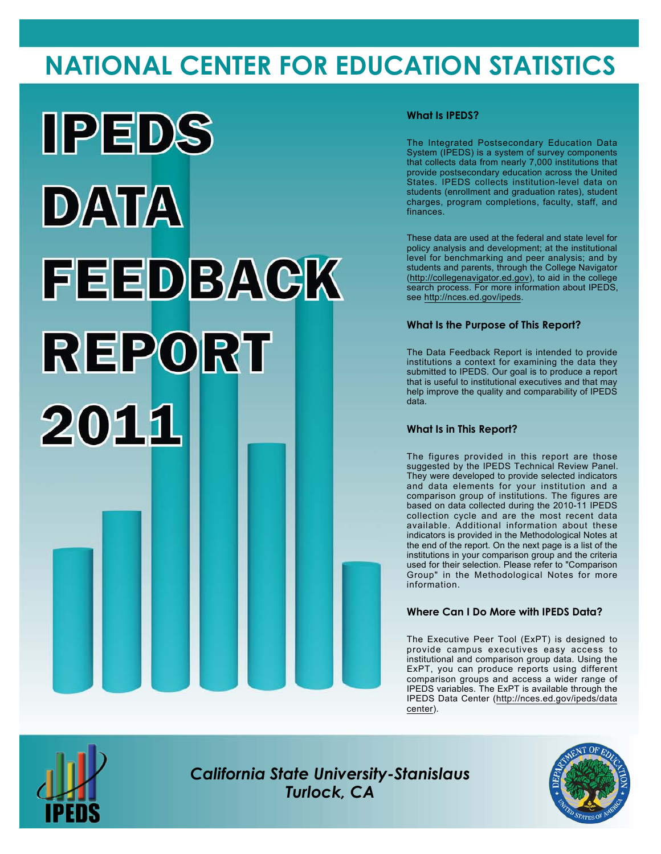# **NATIONAL CENTER FOR EDUCATION STATISTICS**



## **What Is IPEDS?**

The Integrated Postsecondary Education Data System (IPEDS) is a system of survey components that collects data from nearly 7,000 institutions that provide postsecondary education across the United States. IPEDS collects institution-level data on students (enrollment and graduation rates), student charges, program completions, faculty, staff, and finances.

These data are used at the federal and state level for policy analysis and development; at the institutional level for benchmarking and peer analysis; and by students and parents, through the College Navigator (<http://collegenavigator.ed.gov>), to aid in the college search process. For more information about IPEDS, see [http://nces.ed.gov/ipeds.](http://nces.ed.gov/ipeds)

# **What Is the Purpose of This Report?**

The Data Feedback Report is intended to provide institutions a context for examining the data they submitted to IPEDS. Our goal is to produce a report that is useful to institutional executives and that may help improve the quality and comparability of IPEDS data.

### **What Is in This Report?**

The figures provided in this report are those suggested by the IPEDS Technical Review Panel. They were developed to provide selected indicators and data elements for your institution and a comparison group of institutions. The figures are based on data collected during the 2010-11 IPEDS collection cycle and are the most recent data available. Additional information about these indicators is provided in the Methodological Notes at the end of the report. On the next page is a list of the institutions in your comparison group and the criteria used for their selection. Please refer to "Comparison Group" in the Methodological Notes for more information.

### **Where Can I Do More with IPEDS Data?**

The Executive Peer Tool (ExPT) is designed to provide campus executives easy access to institutional and comparison group data. Using the ExPT, you can produce reports using different comparison groups and access a wider range of IPEDS variables. The ExPT is available through the IPEDS Data Center ([http://nces.ed.gov/ipeds/data](http://nces.ed.gov/ipeds/datacenter) [center](http://nces.ed.gov/ipeds/datacenter)).



Image description. Cover Image End of image description.

*California State University-Stanislaus Turlock, CA*

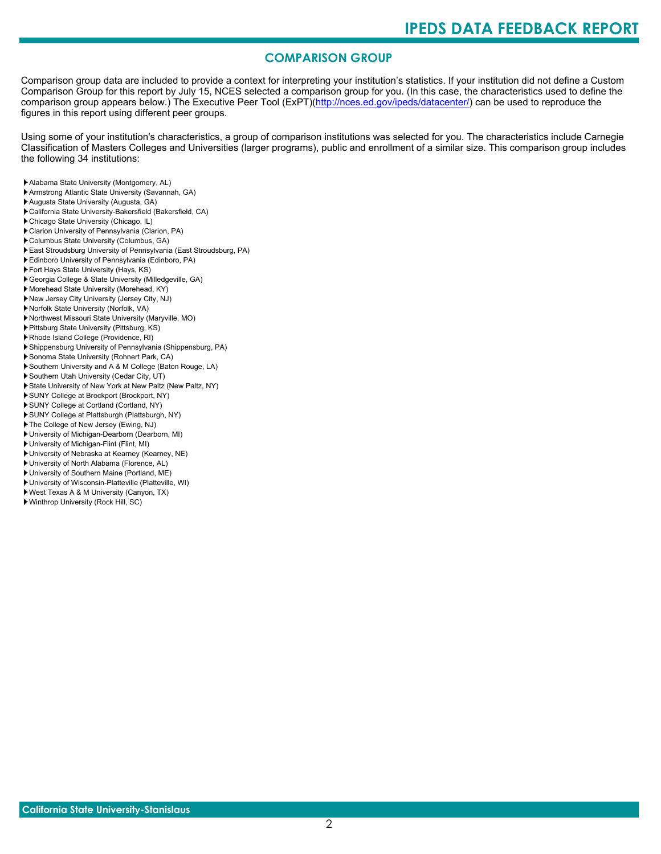# **COMPARISON GROUP**

Comparison group data are included to provide a context for interpreting your institution's statistics. If your institution did not define a Custom Comparison Group for this report by July 15, NCES selected a comparison group for you. (In this case, the characteristics used to define the comparison group appears below.) The Executive Peer Tool (ExPT)[\(http://nces.ed.gov/ipeds/datacenter/\)](http://nces.ed.gov/ipeds/datacenter/) can be used to reproduce the figures in this report using different peer groups.

Using some of your institution's characteristics, a group of comparison institutions was selected for you. The characteristics include Carnegie Classification of Masters Colleges and Universities (larger programs), public and enrollment of a similar size. This comparison group includes the following 34 institutions:

- Alabama State University (Montgomery, AL)
- Armstrong Atlantic State University (Savannah, GA)
- Augusta State University (Augusta, GA)
- California State University-Bakersfield (Bakersfield, CA)
- Chicago State University (Chicago, IL)
- Clarion University of Pennsylvania (Clarion, PA)
- Columbus State University (Columbus, GA)
- East Stroudsburg University of Pennsylvania (East Stroudsburg, PA)
- Edinboro University of Pennsylvania (Edinboro, PA)
- Fort Hays State University (Hays, KS)
- Georgia College & State University (Milledgeville, GA) Morehead State University (Morehead, KY)
- New Jersey City University (Jersey City, NJ)
- Norfolk State University (Norfolk, VA)
- 
- Northwest Missouri State University (Maryville, MO)
- Pittsburg State University (Pittsburg, KS)
- Rhode Island College (Providence, RI) Shippensburg University of Pennsylvania (Shippensburg, PA)
- Sonoma State University (Rohnert Park, CA)
- Southern University and A & M College (Baton Rouge, LA)
- Southern Utah University (Cedar City, UT)
- State University of New York at New Paltz (New Paltz, NY)
- SUNY College at Brockport (Brockport, NY)
- SUNY College at Cortland (Cortland, NY)
- SUNY College at Plattsburgh (Plattsburgh, NY)
- The College of New Jersey (Ewing, NJ)
- University of Michigan-Dearborn (Dearborn, MI)
- University of Michigan-Flint (Flint, MI)
- University of Nebraska at Kearney (Kearney, NE)
- University of North Alabama (Florence, AL)
- University of Southern Maine (Portland, ME)
- University of Wisconsin-Platteville (Platteville, WI)
- West Texas A & M University (Canyon, TX)
- Winthrop University (Rock Hill, SC)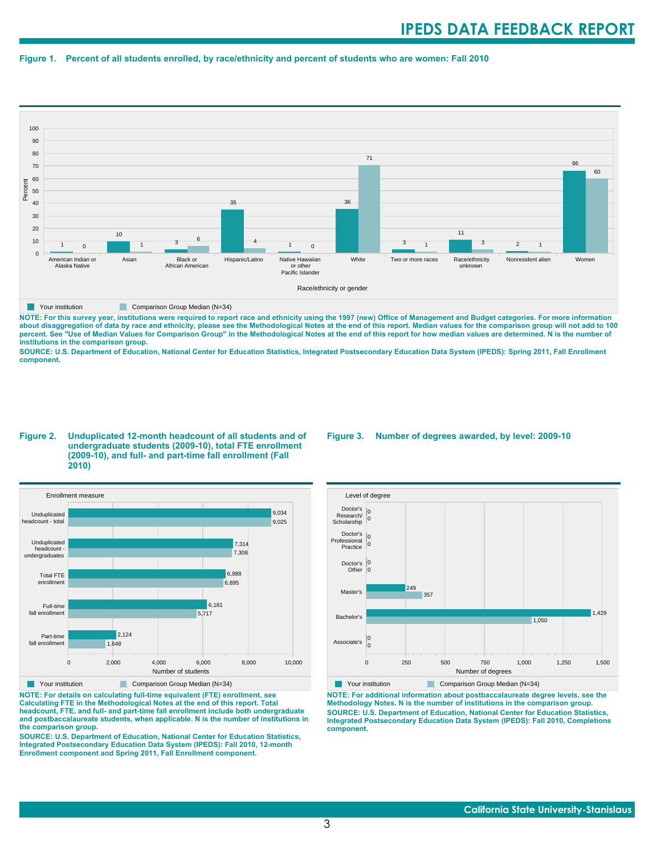#### **Figure 1. Percent of all students enrolled, by race/ethnicity and percent of students who are women: Fall 2010**



**NOTE: For this survey year, institutions were required to report race and ethnicity using the 1997 (new) Office of Management and Budget categories. For more information** about disaggregation of data by race and ethnicity, please see the Methodological Notes at the end of this report. Median values for the comparison group will not add to 100<br>percent. See "Use of Median Values for Compariso **institutions in the comparison group.**

**SOURCE: U.S. Department of Education, National Center for Education Statistics, Integrated Postsecondary Education Data System (IPEDS): Spring 2011, Fall Enrollment component.**

#### **Figure 2. Unduplicated 12-month headcount of all students and of undergraduate students (2009-10), total FTE enrollment (2009-10), and full- and part-time fall enrollment (Fall 2010)**



**NOTE: For details on calculating full-time equivalent (FTE) enrollment, see Calculating FTE in the Methodological Notes at the end of this report. Total headcount, FTE, and full- and part-time fall enrollment include both undergraduate and postbaccalaureate students, when applicable. N is the number of institutions in the comparison group.**

**SOURCE: U.S. Department of Education, National Center for Education Statistics, Integrated Postsecondary Education Data System (IPEDS): Fall 2010, 12-month Enrollment component and Spring 2011, Fall Enrollment component.**

#### **Figure 3. Number of degrees awarded, by level: 2009-10**

![](_page_2_Figure_10.jpeg)

**NOTE: For additional information about postbaccalaureate degree levels, see the Methodology Notes. N is the number of institutions in the comparison group. SOURCE: U.S. Department of Education, National Center for Education Statistics, Integrated Postsecondary Education Data System (IPEDS): Fall 2010, Completions component.**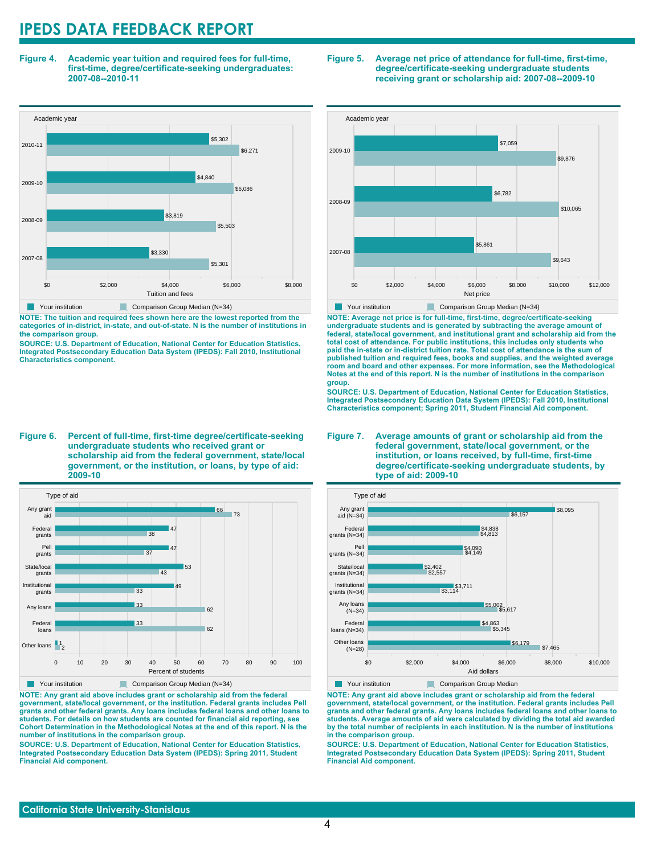**Figure 4. Academic year tuition and required fees for full-time, first-time, degree/certificate-seeking undergraduates: 2007-08--2010-11**

![](_page_3_Figure_2.jpeg)

**NOTE: The tuition and required fees shown here are the lowest reported from the categories of in-district, in-state, and out-of-state. N is the number of institutions in the comparison group.**

**SOURCE: U.S. Department of Education, National Center for Education Statistics, Integrated Postsecondary Education Data System (IPEDS): Fall 2010, Institutional Characteristics component.**

**Figure 6. Percent of full-time, first-time degree/certificate-seeking undergraduate students who received grant or scholarship aid from the federal government, state/local government, or the institution, or loans, by type of aid: 2009-10**

![](_page_3_Figure_6.jpeg)

**NOTE: Any grant aid above includes grant or scholarship aid from the federal government, state/local government, or the institution. Federal grants includes Pell grants and other federal grants. Any loans includes federal loans and other loans to students. For details on how students are counted for financial aid reporting, see Cohort Determination in the Methodological Notes at the end of this report. N is the number of institutions in the comparison group.**

**SOURCE: U.S. Department of Education, National Center for Education Statistics, Integrated Postsecondary Education Data System (IPEDS): Spring 2011, Student Financial Aid component.**

![](_page_3_Figure_9.jpeg)

![](_page_3_Figure_10.jpeg)

**NOTE: Average net price is for full-time, first-time, degree/certificate-seeking undergraduate students and is generated by subtracting the average amount of federal, state/local government, and institutional grant and scholarship aid from the total cost of attendance. For public institutions, this includes only students who paid the in-state or in-district tuition rate. Total cost of attendance is the sum of published tuition and required fees, books and supplies, and the weighted average room and board and other expenses. For more information, see the Methodological Notes at the end of this report. N is the number of institutions in the comparison group.**

**SOURCE: U.S. Department of Education, National Center for Education Statistics, Integrated Postsecondary Education Data System (IPEDS): Fall 2010, Institutional Characteristics component; Spring 2011, Student Financial Aid component.**

#### **Figure 7. Average amounts of grant or scholarship aid from the federal government, state/local government, or the institution, or loans received, by full-time, first-time degree/certificate-seeking undergraduate students, by type of aid: 2009-10**

![](_page_3_Figure_14.jpeg)

**NOTE: Any grant aid above includes grant or scholarship aid from the federal government, state/local government, or the institution. Federal grants includes Pell grants and other federal grants. Any loans includes federal loans and other loans to students. Average amounts of aid were calculated by dividing the total aid awarded by the total number of recipients in each institution. N is the number of institutions in the comparison group.**

**SOURCE: U.S. Department of Education, National Center for Education Statistics, Integrated Postsecondary Education Data System (IPEDS): Spring 2011, Student Financial Aid component.**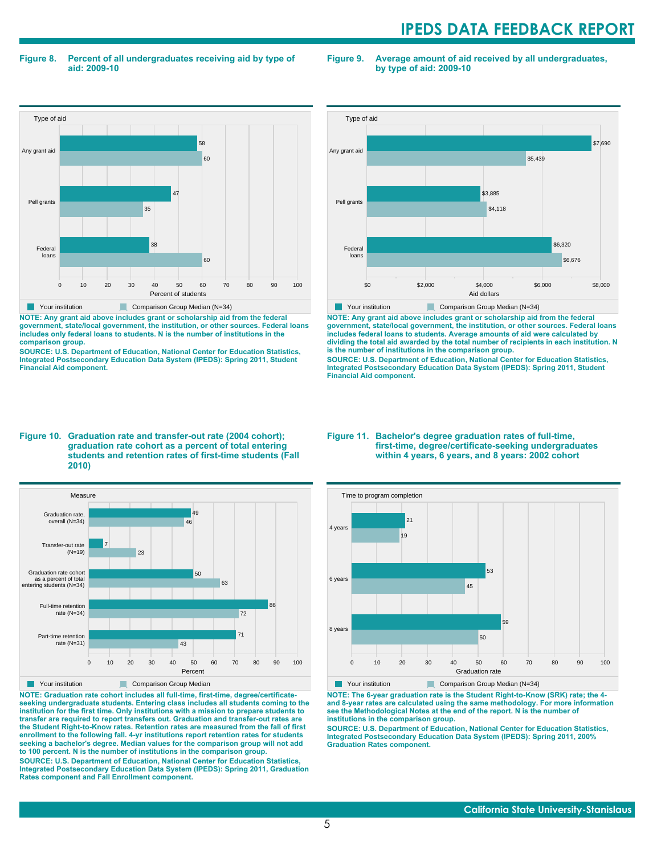#### **Figure 8. Percent of all undergraduates receiving aid by type of aid: 2009-10**

**Figure 9. Average amount of aid received by all undergraduates, by type of aid: 2009-10**

![](_page_4_Figure_3.jpeg)

**NOTE: Any grant aid above includes grant or scholarship aid from the federal government, state/local government, the institution, or other sources. Federal loans includes only federal loans to students. N is the number of institutions in the comparison group.**

**SOURCE: U.S. Department of Education, National Center for Education Statistics, Integrated Postsecondary Education Data System (IPEDS): Spring 2011, Student Financial Aid component.**

![](_page_4_Figure_6.jpeg)

**NOTE: Any grant aid above includes grant or scholarship aid from the federal government, state/local government, the institution, or other sources. Federal loans includes federal loans to students. Average amounts of aid were calculated by dividing the total aid awarded by the total number of recipients in each institution. N is the number of institutions in the comparison group.**

**SOURCE: U.S. Department of Education, National Center for Education Statistics, Integrated Postsecondary Education Data System (IPEDS): Spring 2011, Student Financial Aid component.**

#### **Figure 10. Graduation rate and transfer-out rate (2004 cohort); graduation rate cohort as a percent of total entering students and retention rates of first-time students (Fall 2010)**

![](_page_4_Figure_10.jpeg)

**NOTE: Graduation rate cohort includes all full-time, first-time, degree/certificateseeking undergraduate students. Entering class includes all students coming to the institution for the first time. Only institutions with a mission to prepare students to transfer are required to report transfers out. Graduation and transfer-out rates are the Student Right-to-Know rates. Retention rates are measured from the fall of first enrollment to the following fall. 4-yr institutions report retention rates for students seeking a bachelor's degree. Median values for the comparison group will not add to 100 percent. N is the number of institutions in the comparison group.**

**SOURCE: U.S. Department of Education, National Center for Education Statistics, Integrated Postsecondary Education Data System (IPEDS): Spring 2011, Graduation Rates component and Fall Enrollment component.**

#### **Figure 11. Bachelor's degree graduation rates of full-time, first-time, degree/certificate-seeking undergraduates within 4 years, 6 years, and 8 years: 2002 cohort**

![](_page_4_Figure_14.jpeg)

**NOTE: The 6-year graduation rate is the Student Right-to-Know (SRK) rate; the 4 and 8-year rates are calculated using the same methodology. For more information see the Methodological Notes at the end of the report. N is the number of institutions in the comparison group.**

**SOURCE: U.S. Department of Education, National Center for Education Statistics, Integrated Postsecondary Education Data System (IPEDS): Spring 2011, 200% Graduation Rates component.**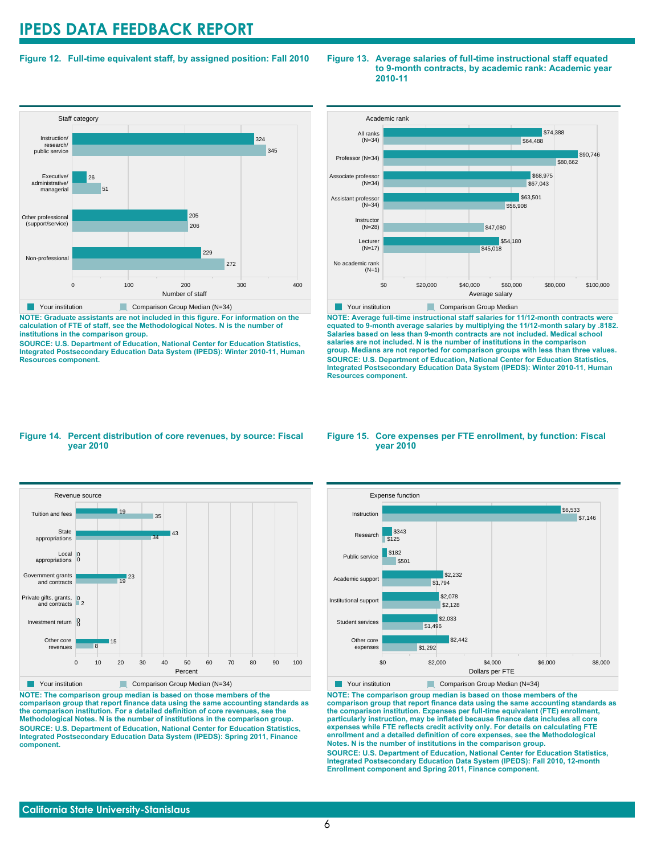### **Figure 12. Full-time equivalent staff, by assigned position: Fall 2010**

#### **Staff category** 0 100 100 200 300 300 400 Number of staff Non-professional Other professional (support/service) Executive/ administrative/ managerial Instruction/ research/ public service 272 220 206 205 51 26 345 324 Your institution **Comparison Group Median (N=34)**

**NOTE: Graduate assistants are not included in this figure. For information on the calculation of FTE of staff, see the Methodological Notes. N is the number of institutions in the comparison group.**

**SOURCE: U.S. Department of Education, National Center for Education Statistics, Integrated Postsecondary Education Data System (IPEDS): Winter 2010-11, Human Resources component.**

#### **Figure 13. Average salaries of full-time instructional staff equated to 9-month contracts, by academic rank: Academic year 2010-11**

![](_page_5_Figure_6.jpeg)

**NOTE: Average full-time instructional staff salaries for 11/12-month contracts were equated to 9-month average salaries by multiplying the 11/12-month salary by .8182. Salaries based on less than 9-month contracts are not included. Medical school salaries are not included. N is the number of institutions in the comparison group. Medians are not reported for comparison groups with less than three values. SOURCE: U.S. Department of Education, National Center for Education Statistics, Integrated Postsecondary Education Data System (IPEDS): Winter 2010-11, Human Resources component.**

#### **Figure 14. Percent distribution of core revenues, by source: Fiscal year 2010**

![](_page_5_Figure_9.jpeg)

**NOTE: The comparison group median is based on those members of the comparison group that report finance data using the same accounting standards as the comparison institution. For a detailed definition of core revenues, see the Methodological Notes. N is the number of institutions in the comparison group. SOURCE: U.S. Department of Education, National Center for Education Statistics, Integrated Postsecondary Education Data System (IPEDS): Spring 2011, Finance component.**

#### **Figure 15. Core expenses per FTE enrollment, by function: Fiscal year 2010**

![](_page_5_Figure_12.jpeg)

Your institution Comparison Group Median (N=34)

**NOTE: The comparison group median is based on those members of the comparison group that report finance data using the same accounting standards as the comparison institution. Expenses per full-time equivalent (FTE) enrollment, particularly instruction, may be inflated because finance data includes all core expenses while FTE reflects credit activity only. For details on calculating FTE enrollment and a detailed definition of core expenses, see the Methodological Notes. N is the number of institutions in the comparison group. SOURCE: U.S. Department of Education, National Center for Education Statistics, Integrated Postsecondary Education Data System (IPEDS): Fall 2010, 12-month Enrollment component and Spring 2011, Finance component.**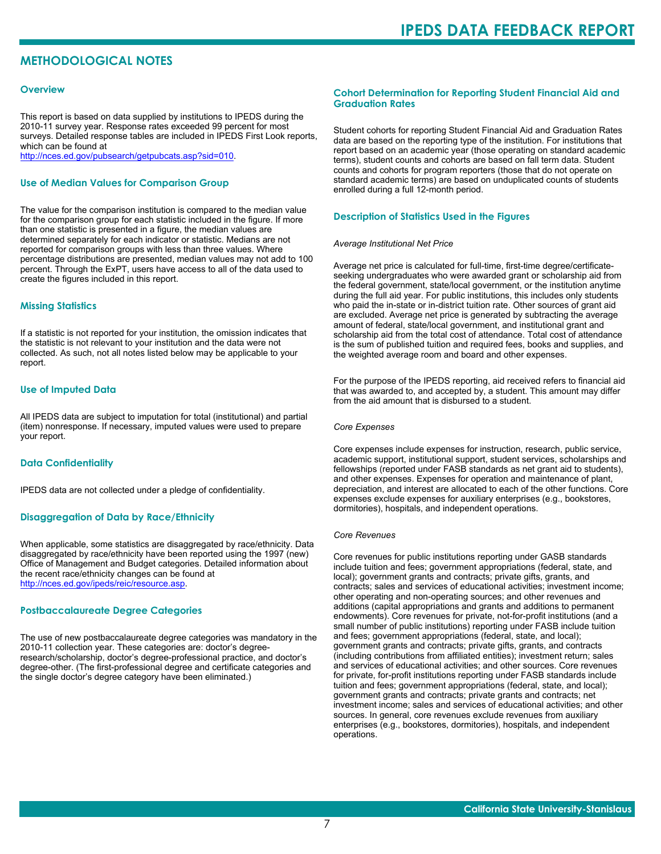# **METHODOLOGICAL NOTES**

#### **Overview**

This report is based on data supplied by institutions to IPEDS during the 2010-11 survey year. Response rates exceeded 99 percent for most surveys. Detailed response tables are included in IPEDS First Look reports, which can be found at [http://nces.ed.gov/pubsearch/getpubcats.asp?sid=010.](http://nces.ed.gov/pubsearch/getpubcats.asp?sid=010)

#### **Use of Median Values for Comparison Group**

The value for the comparison institution is compared to the median value for the comparison group for each statistic included in the figure. If more than one statistic is presented in a figure, the median values are determined separately for each indicator or statistic. Medians are not reported for comparison groups with less than three values. Where percentage distributions are presented, median values may not add to 100 percent. Through the ExPT, users have access to all of the data used to create the figures included in this report.

#### **Missing Statistics**

If a statistic is not reported for your institution, the omission indicates that the statistic is not relevant to your institution and the data were not collected. As such, not all notes listed below may be applicable to your report.

#### **Use of Imputed Data**

All IPEDS data are subject to imputation for total (institutional) and partial (item) nonresponse. If necessary, imputed values were used to prepare your report.

#### **Data Confidentiality**

IPEDS data are not collected under a pledge of confidentiality.

#### **Disaggregation of Data by Race/Ethnicity**

When applicable, some statistics are disaggregated by race/ethnicity. Data disaggregated by race/ethnicity have been reported using the 1997 (new) Office of Management and Budget categories. Detailed information about the recent race/ethnicity changes can be found at <http://nces.ed.gov/ipeds/reic/resource.asp>.

#### **Postbaccalaureate Degree Categories**

The use of new postbaccalaureate degree categories was mandatory in the 2010-11 collection year. These categories are: doctor's degreeresearch/scholarship, doctor's degree-professional practice, and doctor's degree-other. (The first-professional degree and certificate categories and the single doctor's degree category have been eliminated.)

#### **Cohort Determination for Reporting Student Financial Aid and Graduation Rates**

Student cohorts for reporting Student Financial Aid and Graduation Rates data are based on the reporting type of the institution. For institutions that report based on an academic year (those operating on standard academic terms), student counts and cohorts are based on fall term data. Student counts and cohorts for program reporters (those that do not operate on standard academic terms) are based on unduplicated counts of students enrolled during a full 12-month period.

#### **Description of Statistics Used in the Figures**

#### *Average Institutional Net Price*

Average net price is calculated for full-time, first-time degree/certificateseeking undergraduates who were awarded grant or scholarship aid from the federal government, state/local government, or the institution anytime during the full aid year. For public institutions, this includes only students who paid the in-state or in-district tuition rate. Other sources of grant aid are excluded. Average net price is generated by subtracting the average amount of federal, state/local government, and institutional grant and scholarship aid from the total cost of attendance. Total cost of attendance is the sum of published tuition and required fees, books and supplies, and the weighted average room and board and other expenses.

For the purpose of the IPEDS reporting, aid received refers to financial aid that was awarded to, and accepted by, a student. This amount may differ from the aid amount that is disbursed to a student.

#### *Core Expenses*

Core expenses include expenses for instruction, research, public service, academic support, institutional support, student services, scholarships and fellowships (reported under FASB standards as net grant aid to students), and other expenses. Expenses for operation and maintenance of plant, depreciation, and interest are allocated to each of the other functions. Core expenses exclude expenses for auxiliary enterprises (e.g., bookstores, dormitories), hospitals, and independent operations.

#### *Core Revenues*

Core revenues for public institutions reporting under GASB standards include tuition and fees; government appropriations (federal, state, and local); government grants and contracts; private gifts, grants, and contracts; sales and services of educational activities; investment income; other operating and non-operating sources; and other revenues and additions (capital appropriations and grants and additions to permanent endowments). Core revenues for private, not-for-profit institutions (and a small number of public institutions) reporting under FASB include tuition and fees; government appropriations (federal, state, and local); government grants and contracts; private gifts, grants, and contracts (including contributions from affiliated entities); investment return; sales and services of educational activities; and other sources. Core revenues for private, for-profit institutions reporting under FASB standards include tuition and fees; government appropriations (federal, state, and local); government grants and contracts; private grants and contracts; net investment income; sales and services of educational activities; and other sources. In general, core revenues exclude revenues from auxiliary enterprises (e.g., bookstores, dormitories), hospitals, and independent operations.